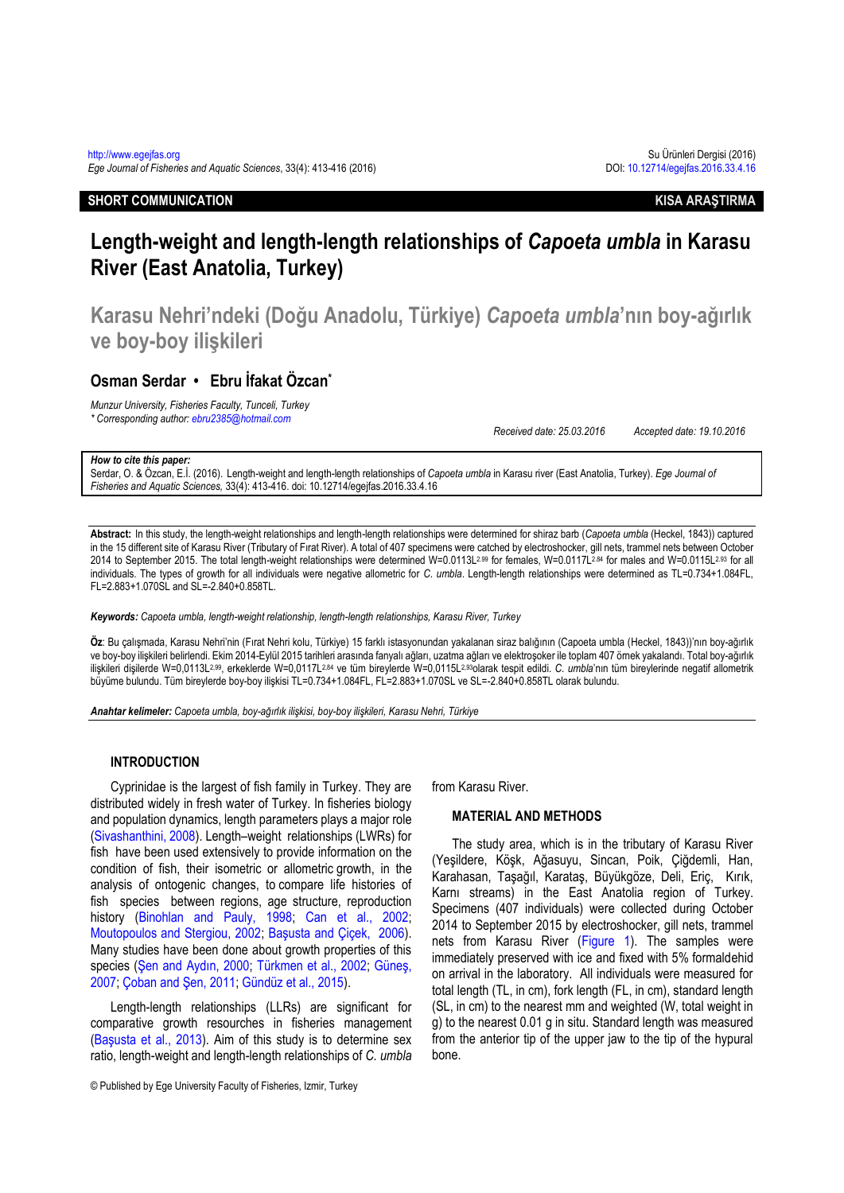# **SHORT COMMUNICATION KISA ARAŞTIRMA**

# **Length-weight and length-length relationships of** *Capoeta umbla* **in Karasu River (East Anatolia, Turkey)**

**Karasu Nehri'ndeki (Doğu Anadolu, Türkiye)** *Capoeta umbla***'nın boy-ağırlık ve boy-boy ilişkileri**

# **Osman Serdar • Ebru İfakat Özcan\***

*Munzur University, Fisheries Faculty, Tunceli, Turkey \* Corresponding author[: ebru2385@hotmail.com](mailto:ebru2385@hotmail.com)*

*Received date: 25.03.2016 Accepted date: 19.10.2016*

#### *How to cite this paper:*

Serdar, O. & Özcan, E.İ. (2016). Length-weight and length-length relationships of *Capoeta umbla* in Karasu river (East Anatolia, Turkey). *Ege Journal of Fisheries and Aquatic Sciences,* 33(4): 413-416. doi: 10.12714/egejfas.2016.33.4.16

**Abstract:** In this study, the length-weight relationships and length-length relationships were determined for shiraz barb (*Capoeta umbla* (Heckel, 1843)) captured in the 15 different site of Karasu River (Tributary of Fırat River). A total of 407 specimens were catched by electroshocker, gill nets, trammel nets between October 2014 to September 2015. The total length-weight relationships were determined W=0.0113L<sup>2.99</sup> for females, W=0.0117L<sup>2.84</sup> for males and W=0.0115L<sup>2.93</sup> for all individuals. The types of growth for all individuals were negative allometric for *C. umbla*. Length-length relationships were determined as TL=0.734+1.084FL, FL=2.883+1.070SL and SL=-2.840+0.858TL.

*Keywords: Capoeta umbla, length-weight relationship, length-length relationships, Karasu River, Turkey*

**Öz**: Bu çalışmada, Karasu Nehri'nin (Fırat Nehri kolu, Türkiye) 15 farklı istasyonundan yakalanan siraz balığının (Capoeta umbla (Heckel, 1843))'nın boy-ağırlık ve boy-boy ilişkileri belirlendi. Ekim 2014-Eylül 2015 tarihleri arasında fanyalı ağları, uzatma ağları ve elektroşoker ile toplam 407 örnek yakalandı. Total boy-ağırlık ilişkileri dişilerde W=0,0113L2,99, erkeklerde W=0,0117L2,84 ve tüm bireylerde W=0,0115L2,93olarak tespit edildi. *C. umbla*'nın tüm bireylerinde negatif allometrik büyüme bulundu. Tüm bireylerde boy-boy ilişkisi TL=0.734+1.084FL, FL=2.883+1.070SL ve SL=-2.840+0.858TL olarak bulundu.

*Anahtar kelimeler: Capoeta umbla, boy-ağırlık ilişkisi, boy-boy ilişkileri, Karasu Nehri, Türkiye*

#### **INTRODUCTION**

Cyprinidae is the largest of fish family in Turkey. They are distributed widely in fresh water of Turkey. In fisheries biology and population dynamics, length parameters plays a major role [\(Sivashanthini, 2008\)](#page-3-0). Length–weight relationships (LWRs) for fish have been used extensively to provide information on the condition of fish, their isometric or allometric growth, in the analysis of ontogenic changes, to compare life histories of fish species between regions, age structure, reproduction history [\(Binohlan and Pauly, 1998;](#page-3-1) Can et al., 2002; [Moutopoulos and Stergiou, 2002;](#page-3-3) [Başusta and Çiçek, 2006](#page-3-4)). Many studies have been done about growth properties of this species ([Şen and Aydın, 2000](#page-3-5); [Türkmen et al., 2002;](#page-3-6) [Güneş,](#page-3-7)  [2007;](#page-3-7) [Çoban and Şen, 2011](#page-3-8); [Gündüz et al., 2015\)](#page-3-9).

Length-length relationships (LLRs) are significant for comparative growth resourches in fisheries management ([Başusta et al., 2013](#page-3-10)). Aim of this study is to determine sex ratio, length-weight and length-length relationships of *C. umbla* from Karasu River.

## **MATERIAL AND METHODS**

The study area, which is in the tributary of Karasu River (Yeşildere, Köşk, Ağasuyu, Sincan, Poik, Çiğdemli, Han, Karahasan, Taşağıl, Karataş, Büyükgöze, Deli, Eriç, Kırık, Karnı streams) in the East Anatolia region of Turkey. Specimens (407 individuals) were collected during October 2014 to September 2015 by electroshocker, gill nets, trammel nets from Karasu River [\(Figure 1\)](#page-1-0). The samples were immediately preserved with ice and fixed with 5% formaldehid on arrival in the laboratory. All individuals were measured for total length (TL, in cm), fork length (FL, in cm), standard length (SL, in cm) to the nearest mm and weighted (W, total weight in g) to the nearest 0.01 g in situ. Standard length was measured from the anterior tip of the upper jaw to the tip of the hypural bone.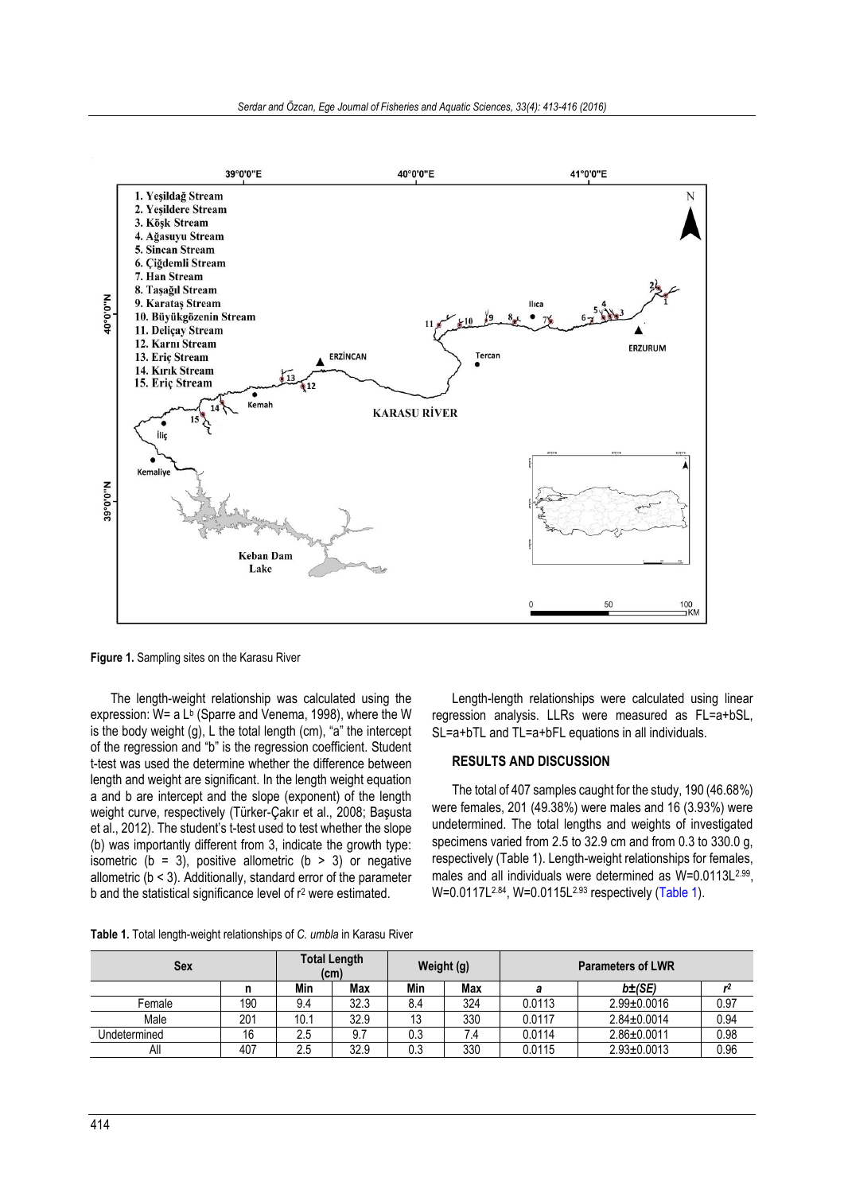

<span id="page-1-0"></span>**Figure 1.** Sampling sites on the Karasu River

The length-weight relationship was calculated using the expression: W= a L<sup>b</sup> (Sparre and Venema, 1998), where the W is the body weight  $(q)$ , L the total length  $(cm)$ , "a" the intercept of the regression and "b" is the regression coefficient. Student t-test was used the determine whether the difference between length and weight are significant. In the length weight equation a and b are intercept and the slope (exponent) of the length weight curve, respectively (Türker-Çakır et al., 2008; Başusta et al., 2012). The student's t-test used to test whether the slope (b) was importantly different from 3, indicate the growth type: isometric ( $b = 3$ ), positive allometric ( $b > 3$ ) or negative allometric (b < 3). Additionally, standard error of the parameter b and the statistical significance level of r<sup>2</sup> were estimated.

Length-length relationships were calculated using linear regression analysis. LLRs were measured as FL=a+bSL, SL=a+bTL and TL=a+bFL equations in all individuals.

#### **RESULTS AND DISCUSSION**

The total of 407 samples caught for the study, 190 (46.68%) were females, 201 (49.38%) were males and 16 (3.93%) were undetermined. The total lengths and weights of investigated specimens varied from 2.5 to 32.9 cm and from 0.3 to 330.0 g, respectively (Table 1). Length-weight relationships for females, males and all individuals were determined as W=0.0113L<sup>2.99</sup>, W=0.0117L<sup>2.84</sup>, W=0.0115L<sup>2.93</sup> respectively [\(Table 1\)](#page-1-1).

| Sex          |     | <b>Total Length</b><br>(cm) |      | Weight (g) |     | <b>Parameters of LWR</b> |                   |      |  |
|--------------|-----|-----------------------------|------|------------|-----|--------------------------|-------------------|------|--|
|              |     | Min                         | Max  | Min        | Max |                          | $b\pm$ (SE)       |      |  |
| Female       | 190 | 9.4                         | 32.3 | 8.4        | 324 | 0.0113                   | $2.99 \pm 0.0016$ | 0.97 |  |
| Male         | 201 | 10.1                        | 32.9 |            | 330 | 0.0117                   | $2.84 \pm 0.0014$ | 0.94 |  |
| Undetermined | 16  | 2.5                         | 9.7  | 0.3        | 7.4 | 0.0114                   | 2.86±0.0011       | 0.98 |  |
| All          | 407 | 2.5                         | 32.9 | 0.3        | 330 | 0.0115                   | $2.93 \pm 0.0013$ | 0.96 |  |

<span id="page-1-1"></span>**Table 1.** Total length-weight relationships of *C. umbla* in Karasu River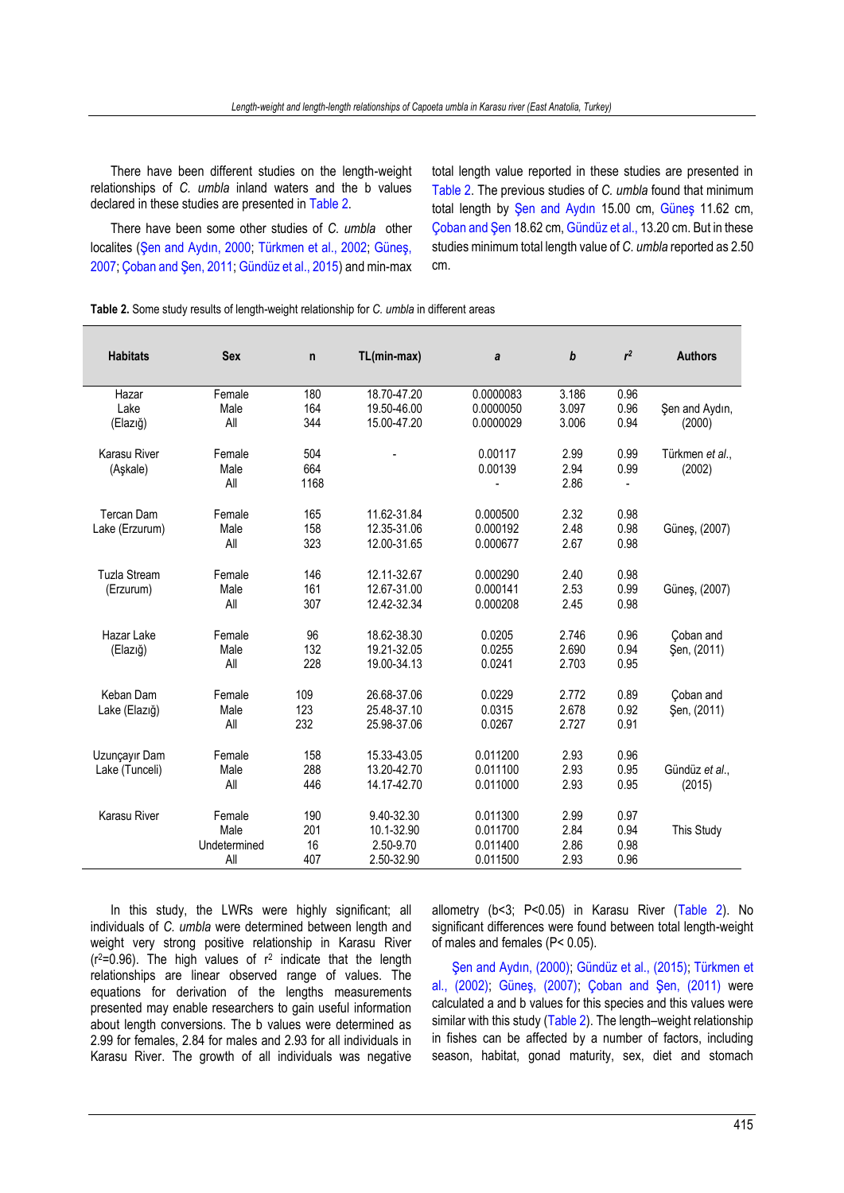There have been different studies on the length-weight relationships of *C. umbla* inland waters and the b values declared in these studies are presented i[n Table 2.](#page-2-0)

There have been some other studies of *C. umbla* other localites ([Şen and Aydın, 2000](#page-3-5); [Türkmen et al., 2002;](#page-3-6) [Güneş,](#page-3-7)  [2007;](#page-3-7) [Çoban and Şen, 2011](#page-3-8)[; Gündüz et al., 2015\)](#page-3-9) and min-max total length value reported in these studies are presented in [Table 2.](#page-2-0) The previous studies of *C. umbla* found that minimum total length by [Şen and Aydın](#page-3-5) 15.00 cm, [Güneş](#page-3-7) 11.62 cm, [Çoban and Şen](#page-3-8) 18.62 cm[, Gündüz et al.,](#page-3-9) 13.20 cm. But in these studies minimum total length value of *C. umbla* reported as 2.50 cm.

<span id="page-2-0"></span>**Table 2.** Some study results of length-weight relationship for *C. umbla* in different areas

| Şen and Aydın,           |
|--------------------------|
|                          |
| (2000)                   |
| Türkmen et al            |
| (2002)                   |
|                          |
| Güneş, (2007)            |
|                          |
| Güneş, (2007)            |
| Coban and                |
| Şen, (2011)              |
| Coban and                |
| Şen, (2011)              |
|                          |
| Gündüz et al.,<br>(2015) |
|                          |
| This Study               |
|                          |

In this study, the LWRs were highly significant; all individuals of *C. umbla* were determined between length and weight very strong positive relationship in Karasu River  $(r^2=0.96)$ . The high values of  $r^2$  indicate that the length relationships are linear observed range of values. The equations for derivation of the lengths measurements presented may enable researchers to gain useful information about length conversions. The b values were determined as 2.99 for females, 2.84 for males and 2.93 for all individuals in Karasu River. The growth of all individuals was negative

allometry (b<3; P<0.05) in Karasu River [\(Table 2\)](#page-2-0). No significant differences were found between total length-weight of males and females (P< 0.05).

[Şen and Aydın, \(2000\)](#page-3-5); [Gündüz et al., \(2015\);](#page-3-9) [Türkmen et](#page-3-6)  [al., \(2002\);](#page-3-6) [Güneş, \(2007\)](#page-3-7); [Çoban and Şen, \(2011\)](#page-3-8) were calculated a and b values for this species and this values were similar with this study [\(Table 2\)](#page-2-0). The length–weight relationship in fishes can be affected by a number of factors, including season, habitat, gonad maturity, sex, diet and stomach